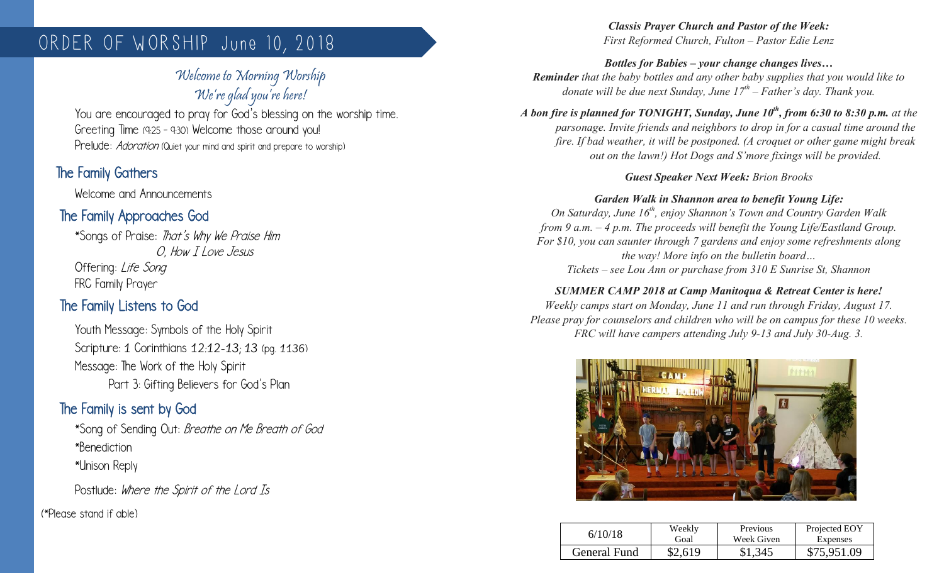# ORDER OF WORSHIP June 10, 2018

## Welcome to Morning Worship We're glad you're here!

You are encouraged to pray for God's blessing on the worship time. Greeting Time (9:25 – 9:30) Welcome those around you! Prelude: *Adoration* (Quiet your mind and spirit and prepare to worship)

## The Family Gathers

Welcome and Announcements

## The Family Approaches God

\*Songs of Praise: That's Why We Praise Him O, How T I ove Jesus Offering: Life Song FRC Family Prayer

## The Family Listens to God

Youth Message: Symbols of the Holy Spirit Scripture: 1 Corinthians 12:12-13; 13 (pg. 1136) Message: The Work of the Holy Spirit Part 3: Gifting Believers for God's Plan

## The Family is sent by God

\*Song of Sending Out: Breathe on Me Breath of God \*Benediction \*Unison Reply

Postlude: Where the Spirit of the Lord Is

(\*Please stand if able)

#### *Classis Prayer Church and Pastor of the Week: First Reformed Church, Fulton – Pastor Edie Lenz*

*Bottles for Babies – your change changes lives… Reminder that the baby bottles and any other baby supplies that you would like to donate will be due next Sunday, June 17th – Father's day. Thank you.*

*A bon fire is planned for TONIGHT, Sunday, June 10th, from 6:30 to 8:30 p.m. at the parsonage. Invite friends and neighbors to drop in for a casual time around the fire. If bad weather, it will be postponed. (A croquet or other game might break out on the lawn!) Hot Dogs and S'more fixings will be provided.*

#### *Guest Speaker Next Week: Brion Brooks*

### *Garden Walk in Shannon area to benefit Young Life:*

*On Saturday, June 16th, enjoy Shannon's Town and Country Garden Walk from 9 a.m. – 4 p.m. The proceeds will benefit the Young Life/Eastland Group. For \$10, you can saunter through 7 gardens and enjoy some refreshments along the way! More info on the bulletin board… Tickets – see Lou Ann or purchase from 310 E Sunrise St, Shannon*

### *SUMMER CAMP 2018 at Camp Manitoqua & Retreat Center is here!*

*Weekly camps start on Monday, June 11 and run through Friday, August 17. Please pray for counselors and children who will be on campus for these 10 weeks. FRC will have campers attending July 9-13 and July 30-Aug. 3.*



| 6/10/18      | Weekly | <b>Previous</b> | Projected EOY |
|--------------|--------|-----------------|---------------|
|              | Goal   | Week Given      | Expenses      |
| General Fund | S2 619 | 345             | \$75,951.09   |